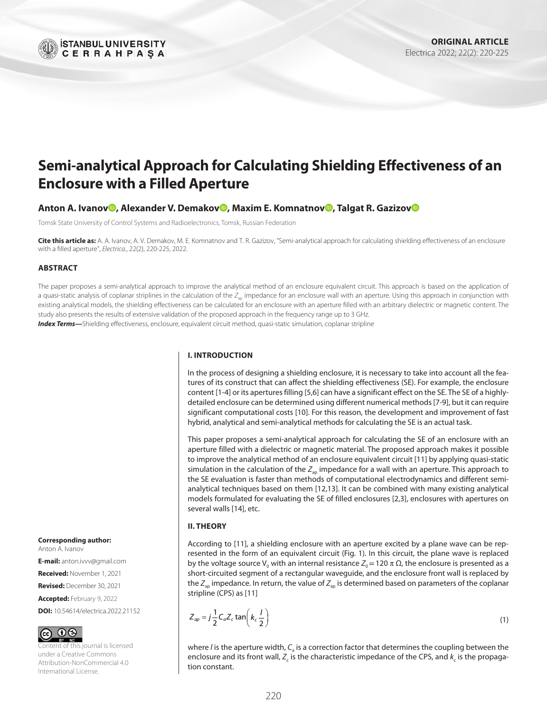

# **Semi-analytical Approach for Calculating Shielding Effectiveness of an Enclosure with a Filled Aperture**

## **Anton A. Ivanov , Alexander V. Demakov , Maxim E. Komnatnov [,](http://orcid.org/0000-0002-6463-2889) Talgat R. Gazizo[v](http://orcid.org/0000-0002-1192-4853)**

Tomsk State University of Control Systems and Radioelectronics, Tomsk, Russian Federation

**Cite this article as:** A. A. Ivanov, A. V. Demakov, M. E. Komnatnov and T. R. Gazizov, "Semi-analytical approach for calculating shielding effectiveness of an enclosure with a filled aperture", *Electrica.*, 22(2), 220-225, 2022.

#### **ABSTRACT**

The paper proposes a semi-analytical approach to improve the analytical method of an enclosure equivalent circuit. This approach is based on the application of a quasi-static analysis of coplanar striplines in the calculation of the Z<sub>ap</sub> impedance for an enclosure wall with an aperture. Using this approach in conjunction with existing analytical models, the shielding effectiveness can be calculated for an enclosure with an aperture filled with an arbitrary dielectric or magnetic content. The study also presents the results of extensive validation of the proposed approach in the frequency range up to 3 GHz.

*Index Terms—*Shielding effectiveness, enclosure, equivalent circuit method, quasi-static simulation, coplanar stripline

#### **I. INTRODUCTION**

In the process of designing a shielding enclosure, it is necessary to take into account all the features of its construct that can affect the shielding effectiveness (SE). For example, the enclosure content [[1](#page-3-0)[-4\]](#page-3-1) or its apertures filling [[5,](#page-3-2)[6](#page-3-3)] can have a significant effect on the SE. The SE of a highlydetailed enclosure can be determined using different numerical methods [\[7-](#page-3-4)[9](#page-3-5)], but it can require significant computational costs [\[10\]](#page-3-6). For this reason, the development and improvement of fast hybrid, analytical and semi-analytical methods for calculating the SE is an actual task.

This paper proposes a semi-analytical approach for calculating the SE of an enclosure with an aperture filled with a dielectric or magnetic material. The proposed approach makes it possible to improve the analytical method of an enclosure equivalent circuit [\[11\]](#page-3-7) by applying quasi-static simulation in the calculation of the  $Z_{ap}$  impedance for a wall with an aperture. This approach to the SE evaluation is faster than methods of computational electrodynamics and different semianalytical techniques based on them [[12,](#page-3-8)[13\]](#page-4-0). It can be combined with many existing analytical models formulated for evaluating the SE of filled enclosures [[2](#page-3-9)[,3\]](#page-3-10), enclosures with apertures on several walls [[14\]](#page-4-1), etc.

#### **II. THEORY**

According to [\[11](#page-3-7)], a shielding enclosure with an aperture excited by a plane wave can be represented in the form of an equivalent circuit ([Fig. 1\)](#page-1-0). In this circuit, the plane wave is replaced by the voltage source V<sub>0</sub> with an internal resistance  $Z_0$  = 120 π  $Ω$ , the enclosure is presented as a short-circuited segment of a rectangular waveguide, and the enclosure front wall is replaced by the  $Z_{\text{an}}$  impedance. In return, the value of  $Z_{\text{an}}$  is determined based on parameters of the coplanar stripline (CPS) as [\[11\]](#page-3-7)

$$
Z_{ap} = j\frac{1}{2}C_a Z_c \tan\left(k_c \frac{l}{2}\right)
$$
 (1)

where *l* is the aperture width,  $C_a$  is a correction factor that determines the coupling between the enclosure and its front wall,  $Z_c$  is the characteristic impedance of the CPS, and  $k_c$  is the propagation constant.

# **Corresponding author:**

Anton A. Ivanov

**E-mail:** [anton.ivvv@gmail.com](mailto:anton.ivvv@gmail.com) **Received:** November 1, 2021

**Revised:** December 30, 2021

**Accepted:** February 9, 2022

**DOI:** 10.54614/electrica.2022.21152



ntent of this journal is licensed under a Creative Commons Attribution-NonCommercial 4.0 International License.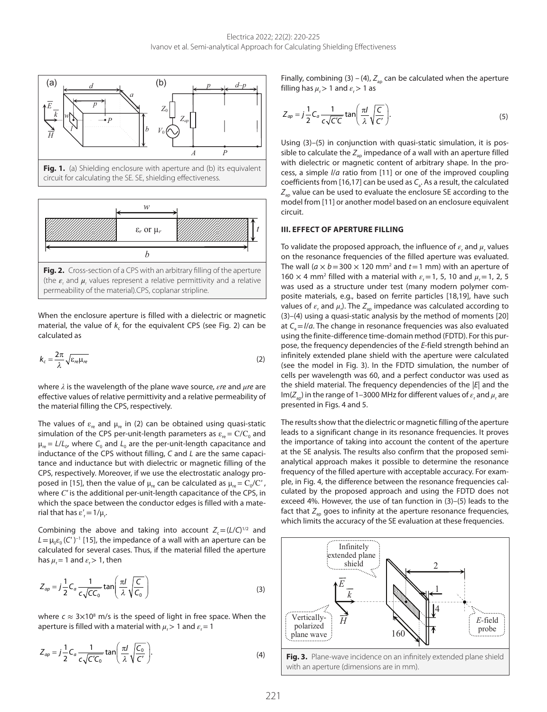<span id="page-1-0"></span>

**Fig. 1.** (a) Shielding enclosure with aperture and (b) its equivalent circuit for calculating the SE*.* SE, shielding effectiveness.



(the  $\varepsilon_{\text{r}}$  and  $\mu_{\text{r}}$  values represent a relative permittivity and a relative permeability of the material)*.*CPS, coplanar stripline.

When the enclosure aperture is filled with a dielectric or magnetic material, the value of k<sub>c</sub> for the equivalent CPS (see Fig. 2) can be calculated as

$$
k_c = \frac{2\pi}{\lambda} \sqrt{\varepsilon_{re} \mu_{re}}
$$
 (2)

where *λ* is the wavelength of the plane wave source, *εre* and *μre* are effective values of relative permittivity and a relative permeability of the material filling the CPS, respectively.

The values of  $\varepsilon_{re}$  and  $\mu_{re}$  in (2) can be obtained using quasi-static simulation of the CPS per-unit-length parameters as  $\varepsilon_{n} = C/C_{0}$  and  $\mu_{\text{re}} = L/L_{0}$ , where  $C_{0}$  and  $L_{0}$  are the per-unit-length capacitance and inductance of the CPS without filling, *C* and *L* are the same capacitance and inductance but with dielectric or magnetic filling of the CPS, respectively. Moreover, if we use the electrostatic analogy pro-posed in [\[15](#page-4-2)], then the value of  $\mu_{re}$  can be calculated as  $\mu_{re} = C_0/C'$ , where *С'* is the additional per-unit-length capacitance of the CPS, in which the space between the conductor edges is filled with a mate $r$ ial that has  $\varepsilon'$ <sub>r</sub> = 1/ $\mu$ <sub>r</sub>.

Combining the above and taking into account  $Z_c = (L/C)^{1/2}$  and  $L = \mu_0 \varepsilon_0 (C')^{-1}$  [[15](#page-4-2)], the impedance of a wall with an aperture can be calculated for several cases. Thus, if the material filled the aperture has  $\mu_r = 1$  and  $\varepsilon_r > 1$ , then

$$
Z_{ap} = j\frac{1}{2}C_a \frac{1}{c\sqrt{CC_0}} \tan\left(\frac{\pi l}{\lambda} \sqrt{\frac{C}{C_0}}\right)
$$
 (3)

where  $c \approx 3 \times 10^8$  m/s is the speed of light in free space. When the aperture is filled with a material with  $\mu_r$  > 1 and  $\varepsilon_r$  = 1

$$
Z_{ap} = j\frac{1}{2}C_a \frac{1}{c\sqrt{C'C_0}}\tan\left(\frac{\pi l}{\lambda}\sqrt{\frac{C_0}{C'}}\right).
$$
 (4)

Finally, combining (3) – (4),  $Z_{\text{ap}}$  can be calculated when the aperture filling has  $\mu > 1$  and  $\varepsilon > 1$  as

$$
Z_{ap} = j\frac{1}{2}C_a \frac{1}{c\sqrt{C'C}} \tan\left(\frac{\pi l}{\lambda}\sqrt{\frac{C}{C'}}\right).
$$
 (5)

Using (3)–(5) in conjunction with quasi-static simulation, it is possible to calculate the  $Z_{\text{ao}}$  impedance of a wall with an aperture filled with dielectric or magnetic content of arbitrary shape. In the process, a simple *l*/*a* ratio from [\[11\]](#page-3-7) or one of the improved coupling coefficients from [\[16,](#page-4-3)[17\]](#page-4-4) can be used as C<sub>2</sub>. As a result, the calculated  $Z_{\text{an}}$  value can be used to evaluate the enclosure SE according to the model from [\[11\]](#page-3-7) or another model based on an enclosure equivalent circuit.

#### **III. EFFECT OF APERTURE FILLING**

To validate the proposed approach, the influence of  $\varepsilon_{\rm r}$  and  $\mu_{\rm r}$  values on the resonance frequencies of the filled aperture was evaluated. The wall  $(a \times b = 300 \times 120 \text{ mm}^2$  and  $t = 1 \text{ mm}$ ) with an aperture of 160  $\times$  4 mm<sup>2</sup> filled with a material with  $\varepsilon$ <sub>r</sub> = 1, 5, 10 and  $\mu$ <sub>r</sub> = 1, 2, 5 was used as a structure under test (many modern polymer composite materials, e.g., based on ferrite particles [[18](#page-4-5)[,19](#page-4-6)], have such values of  $\varepsilon$ <sub>r</sub> and  $\mu$ <sub>r</sub>). The  $Z_{ap}$  impedance was calculated according to (3)–(4) using a quasi-static analysis by the method of moments [\[20](#page-4-7)] at  $C = I/a$ . The change in resonance frequencies was also evaluated using the finite-difference time-domain method (FDTD). For this purpose, the frequency dependencies of the *E*-field strength behind an infinitely extended plane shield with the aperture were calculated (see the model in Fig. 3). In the FDTD simulation, the number of cells per wavelength was 60, and a perfect conductor was used as the shield material. The frequency dependencies of the |*E*| and the Im( $Z_{ap}$ ) in the range of 1–3000 MHz for different values of  $\varepsilon_r$  and  $\mu_r$  are presented in [Figs. 4](#page-2-0) and [5](#page-2-0).

The results show that the dielectric or magnetic filling of the aperture leads to a significant change in its resonance frequencies. It proves the importance of taking into account the content of the aperture at the SE analysis. The results also confirm that the proposed semianalytical approach makes it possible to determine the resonance frequency of the filled aperture with acceptable accuracy. For example, in [Fig. 4](#page-2-0), the difference between the resonance frequencies calculated by the proposed approach and using the FDTD does not exceed 4%. However, the use of tan function in (3)–(5) leads to the fact that  $Z_{\text{ao}}$  goes to infinity at the aperture resonance frequencies, which limits the accuracy of the SE evaluation at these frequencies.

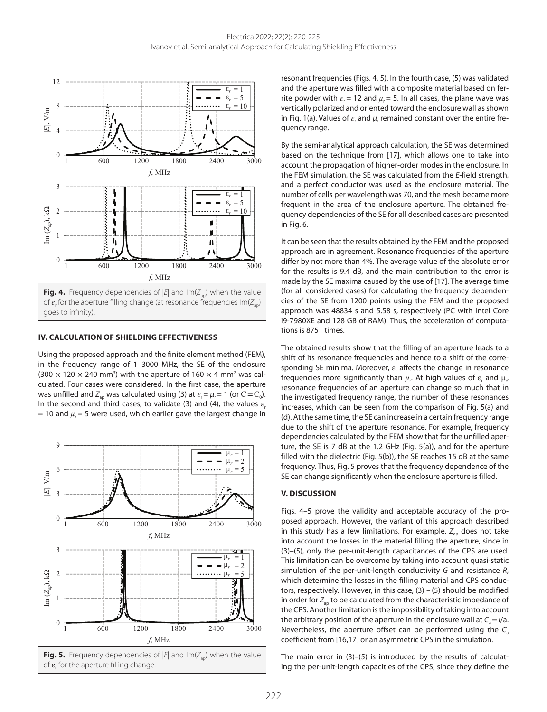<span id="page-2-0"></span>

#### **IV. CALCULATION OF SHIELDING EFFECTIVENESS**

Using the proposed approach and the finite element method (FEM), in the frequency range of 1–3000 MHz, the SE of the enclosure  $(300 \times 120 \times 240 \text{ mm}^3)$  with the aperture of 160  $\times$  4 mm<sup>2</sup> was calculated. Four cases were considered. In the first case, the aperture was unfilled and  $Z_{\text{ap}}$  was calculated using (3) at  $\varepsilon_r = \mu_r = 1$  (or  $C = C_0$ ). In the second and third cases, to validate (3) and (4), the values  $\varepsilon$ <sub>r</sub>  $= 10$  and  $\mu_r = 5$  were used, which earlier gave the largest change in



resonant frequencies (Figs. 4, 5). In the fourth case, (5) was validated and the aperture was filled with a composite material based on ferrite powder with  $\varepsilon_r = 12$  and  $\mu_r = 5$ . In all cases, the plane wave was vertically polarized and oriented toward the enclosure wall as shown in Fig. 1(a). Values of  $\varepsilon_r$  and  $\mu_r$  remained constant over the entire frequency range.

By the semi-analytical approach calculation, the SE was determined based on the technique from [[17\]](#page-4-4), which allows one to take into account the propagation of higher-order modes in the enclosure. In the FEM simulation, the SE was calculated from the *E*-field strength, and a perfect conductor was used as the enclosure material. The number of cells per wavelength was 70, and the mesh became more frequent in the area of the enclosure aperture. The obtained frequency dependencies of the SE for all described cases are presented in Fig. 6.

It can be seen that the results obtained by the FEM and the proposed approach are in agreement. Resonance frequencies of the aperture differ by not more than 4%. The average value of the absolute error for the results is 9.4 dB, and the main contribution to the error is made by the SE maxima caused by the use of [[17\]](#page-4-4). The average time (for all considered cases) for calculating the frequency dependencies of the SE from 1200 points using the FEM and the proposed approach was 48834 s and 5.58 s, respectively (PC with Intel Core i9-7980XE and 128 GB of RAM). Thus, the acceleration of computations is 8751 times.

The obtained results show that the filling of an aperture leads to a shift of its resonance frequencies and hence to a shift of the corresponding SE minima. Moreover,  $\varepsilon_r$  affects the change in resonance frequencies more significantly than  $\mu_r$ . At high values of  $\varepsilon_r$  and  $\mu_{r'}$ resonance frequencies of an aperture can change so much that in the investigated frequency range, the number of these resonances increases, which can be seen from the comparison of Fig. 5(a) and (d). At the same time, the SE can increase in a certain frequency range due to the shift of the aperture resonance. For example, frequency dependencies calculated by the FEM show that for the unfilled aperture, the SE is 7 dB at the 1.2 GHz (Fig. 5(a)), and for the aperture filled with the dielectric (Fig. 5(b)), the SE reaches 15 dB at the same frequency. Thus, Fig. 5 proves that the frequency dependence of the SE can change significantly when the enclosure aperture is filled.

# **V. DISCUSSION**

Figs. 4–5 prove the validity and acceptable accuracy of the proposed approach. However, the variant of this approach described in this study has a few limitations. For example, Z<sub>ap</sub> does not take into account the losses in the material filling the aperture, since in (3)–(5), only the per-unit-length capacitances of the CPS are used. This limitation can be overcome by taking into account quasi-static simulation of the per-unit-length conductivity *G* and resistance *R*, which determine the losses in the filling material and CPS conductors, respectively. However, in this case,  $(3) - (5)$  should be modified in order for  $Z_{\text{an}}$  to be calculated from the characteristic impedance of the CPS. Another limitation is the impossibility of taking into account the arbitrary position of the aperture in the enclosure wall at  $C_a = I/a$ . Nevertheless, the aperture offset can be performed using the *C*<sup>a</sup> coefficient from [[16](#page-4-3)[,17](#page-4-4)] or an asymmetric CPS in the simulation.

The main error in (3)–(5) is introduced by the results of calculating the per-unit-length capacities of the CPS, since they define the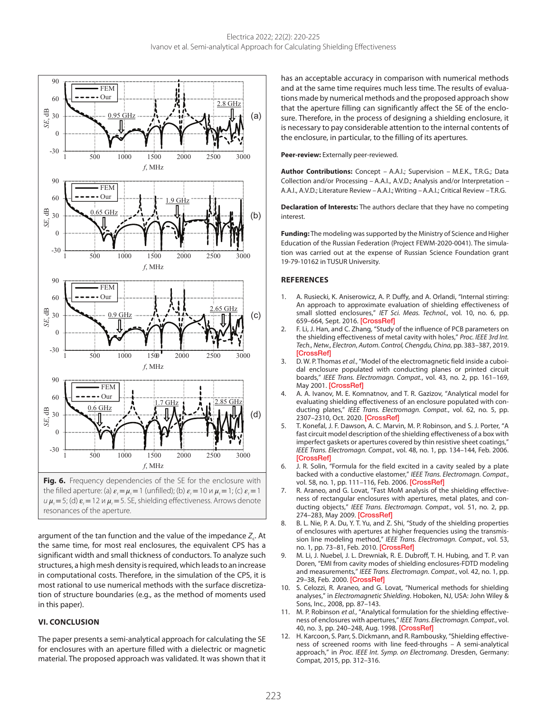

the filled aperture: (a)  $\varepsilon_r = \mu_r = 1$  (unfilled); (b)  $\varepsilon_r = 10$   $\mu_r = 1$ ; (c)  $\varepsilon_r = 1$  $u \mu_r = 5$ ; (d)  $\varepsilon_r = 12$  *u*  $\mu_r = 5$ . SE, shielding effectiveness. Arrows denote resonances of the aperture.

argument of the tan function and the value of the impedance Z<sub>c</sub>. At the same time, for most real enclosures, the equivalent CPS has a significant width and small thickness of conductors. To analyze such structures, a high mesh density is required, which leads to an increase in computational costs. Therefore, in the simulation of the CPS, it is most rational to use numerical methods with the surface discretization of structure boundaries (e.g., as the method of moments used in this paper).

# **VI. CONCLUSION**

The paper presents a semi-analytical approach for calculating the SE for enclosures with an aperture filled with a dielectric or magnetic material. The proposed approach was validated. It was shown that it has an acceptable accuracy in comparison with numerical methods and at the same time requires much less time. The results of evaluations made by numerical methods and the proposed approach show that the aperture filling can significantly affect the SE of the enclosure. Therefore, in the process of designing a shielding enclosure, it is necessary to pay considerable attention to the internal contents of the enclosure, in particular, to the filling of its apertures.

#### **Peer-review:** Externally peer-reviewed.

**Author Contributions:** Concept – A.A.I.; Supervision – M.E.K., T.R.G.; Data Collection and/or Processing – A.A.I., A.V.D.; Analysis and/or Interpretation – A.A.I., A.V.D.; Literature Review – A.A.I.; Writing – A.A.I.; Critical Review – T.R.G.

**Declaration of Interests:** The authors declare that they have no competing interest.

**Funding:** The modeling was supported by the Ministry of Science and Higher Education of the Russian Federation (Project FEWM-2020-0041). The simulation was carried out at the expense of Russian Science Foundation grant 19-79-10162 in TUSUR University.

## **REFERENCES**

- <span id="page-3-0"></span>1. A. Rusiecki, K. Aniserowicz, A. P. Duffy, and A. Orlandi, "Internal stirring: An approach to approximate evaluation of shielding effectiveness of small slotted enclosures," *IET Sci. Meas. Technol.*, vol. 10, no. 6, pp. 659–664, Sept. 2016. [\[CrossRef\]](https://doi.org/10.1049/iet-smt.2016.0060)
- <span id="page-3-9"></span>2. F. Li, J. Han, and C. Zhang, "Study of the influence of PCB parameters on the shielding effectiveness of metal cavity with holes," *Proc. IEEE 3rd Int. Tech., Netw., Electron*, *Autom. Control, Chengdu, China*, pp. 383–387, 2019. **[\[CrossRef\]](https://doi.org/10.1109/ITNEC.2019.8729288)**
- <span id="page-3-10"></span>3. D. W. P. Thomas *et al.*, "Model of the electromagnetic field inside a cuboidal enclosure populated with conducting planes or printed circuit boards," *IEEE Trans. Electromagn. Compat.*, vol. 43, no. 2, pp. 161–169, May 2001. [\[CrossRef\]](https://doi.org/10.1109/15.925536)
- <span id="page-3-1"></span>4. A. A. Ivanov, M. E. Komnatnov, and T. R. Gazizov, "Analytical model for evaluating shielding effectiveness of an enclosure populated with conducting plates," *IEEE Trans. Electromagn. Compat.*, vol. 62, no. 5, pp. 2307–2310, Oct. 2020. [\[CrossRef\]](https://doi.org/10.1109/TEMC.2020.2968607)
- <span id="page-3-2"></span>5. T. Konefal, J. F. Dawson, A. C. Marvin, M. P. Robinson, and S. J. Porter, "A fast circuit model description of the shielding effectiveness of a box with imperfect gaskets or apertures covered by thin resistive sheet coatings," *IEEE Trans. Electromagn. Compat.*, vol. 48, no. 1, pp. 134–144, Feb. 2006. [\[CrossRef\]](https://doi.org/10.1109/TEMC.2006.870703)
- <span id="page-3-3"></span>6. J. R. Solin, "Formula for the field excited in a cavity sealed by a plate backed with a conductive elastomer," *IEEE Trans. Electromagn. Compat.*, vol. 58, no. 1, pp. 111-116, Feb. 2006. [\[CrossRef\]](https://doi.org/10.1109/TEMC.2015.2500228)
- <span id="page-3-4"></span>7. R. Araneo, and G. Lovat, "Fast MoM analysis of the shielding effectiveness of rectangular enclosures with apertures, metal plates, and conducting objects," *IEEE Trans. Electromagn. Compat.*, vol. 51, no. 2, pp. 274–283, May 2009. [\[CrossRef\]](https://doi.org/10.1109/TEMC.2008.2010456)
- 8. B. L. Nie, P. A. Du, Y. T. Yu, and Z. Shi, "Study of the shielding properties of enclosures with apertures at higher frequencies using the transmission line modeling method," *IEEE Trans. Electromagn. Compat.*, vol. 53, no. 1, pp. 73-81, Feb. 2010. [\[CrossRef\]](https://doi.org/10.1109/TEMC.2010.2047398)
- <span id="page-3-5"></span>9. M. Li, J. Nuebel, J. L. Drewniak, R. E. Dubroff, T. H. Hubing, and T. P. van Doren, "EMI from cavity modes of shielding enclosures-FDTD modeling and measurements," *IEEE Trans. Electromagn. Compat.*, vol. 42, no. 1, pp. 29–38, Feb. 2000. [\[CrossRef\]](https://doi.org/10.1109/15.831702)
- <span id="page-3-6"></span>10. S. Celozzi, R. Araneo, and G. Lovat, "Numerical methods for shielding analyses," in *Electromagnetic Shielding*. Hoboken, NJ, USA: John Wiley & Sons, Inc., 2008, pp. 87–143.
- <span id="page-3-7"></span>11. M. P. Robinson *et al.*, "Analytical formulation for the shielding effectiveness of enclosures with apertures," *IEEE Trans. Electromagn. Compat.*, vol. 40, no. 3, pp. 240–248, Aug. 1998. [\[CrossRef\]](https://doi.org/10.1109/15.709422)
- <span id="page-3-8"></span>12. H. Karcoon, S. Parr, S. Dickmann, and R. Rambousky, "Shielding effectiveness of screened rooms with line feed-throughs – A semi-analytical approach," in *Proc. IEEE Int. Symp. on Electromang*. Dresden, Germany: Compat, 2015, pp. 312–316.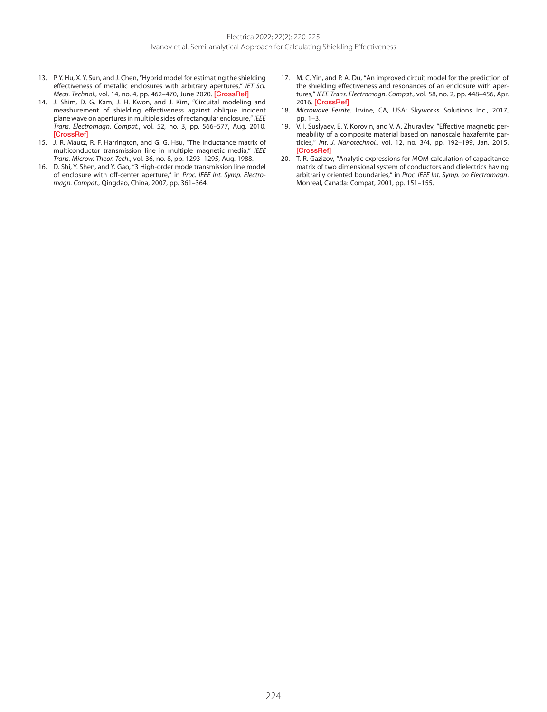- <span id="page-4-0"></span>13. P.Y. Hu, X.Y. Sun, and J. Chen, "Hybrid model for estimating the shielding effectiveness of metallic enclosures with arbitrary apertures," *IET Sci. Meas. Technol.*, vol. 14, no. 4, pp. 462–470, June 2020. [\[CrossRef\]](https://doi.org/10.1049/iet-smt.2019.0278)
- <span id="page-4-1"></span>14. J. Shim, D. G. Kam, J. H. Kwon, and J. Kim, "Circuital modeling and meashurement of shielding effectiveness against oblique incident plane wave on apertures in multiple sides of rectangular enclosure," *IEEE Trans. Electromagn. Compat.*, vol. 52, no. 3, pp. 566–577, Aug. 2010. [\[CrossRef\]](https://doi.org/10.1109/TEMC.2009.2039483)
- <span id="page-4-2"></span>15. J. R. Mautz, R. F. Harrington, and G. G. Hsu, "The inductance matrix of multiconductor transmission line in multiple magnetic media," *IEEE Trans. Microw. Theor. Tech.*, vol. 36, no. 8, pp. 1293–1295, Aug. 1988.
- <span id="page-4-3"></span>16. D. Shi, Y. Shen, and Y. Gao, "3 High-order mode transmission line model of enclosure with off-center aperture," in *Proc. IEEE Int. Symp. Electromagn. Compat.*, Qingdao, China, 2007, pp. 361–364.
- <span id="page-4-4"></span>17. M. C. Yin, and P. A. Du, "An improved circuit model for the prediction of the shielding effectiveness and resonances of an enclosure with apertures," *IEEE Trans. Electromagn. Compat.*, vol. 58, no. 2, pp. 448–456, Apr. 2016. [\[CrossRef\]](https://doi.org/10.1109/TEMC.2016.2517163)
- <span id="page-4-5"></span>18. *Microwave Ferrite*. Irvine, CA, USA: Skyworks Solutions Inc., 2017, pp. 1–3.
- <span id="page-4-6"></span>19. V. I. Suslyaev, E. Y. Korovin, and V. A. Zhuravlev, "Effective magnetic permeability of a composite material based on nanoscale haxaferrite particles," *Int. J. Nanotechnol.*, vol. 12, no. 3/4, pp. 192–199, Jan. 2015. [\[CrossRef\]](https://doi.org/10.1504/IJNT.2015.067204)
- <span id="page-4-7"></span>20. T. R. Gazizov, "Analytic expressions for MOM calculation of capacitance matrix of two dimensional system of conductors and dielectrics having arbitrarily oriented boundaries," in *Proc. IEEE Int. Symp. on Electromagn*. Monreal, Canada: Compat, 2001, pp. 151–155.